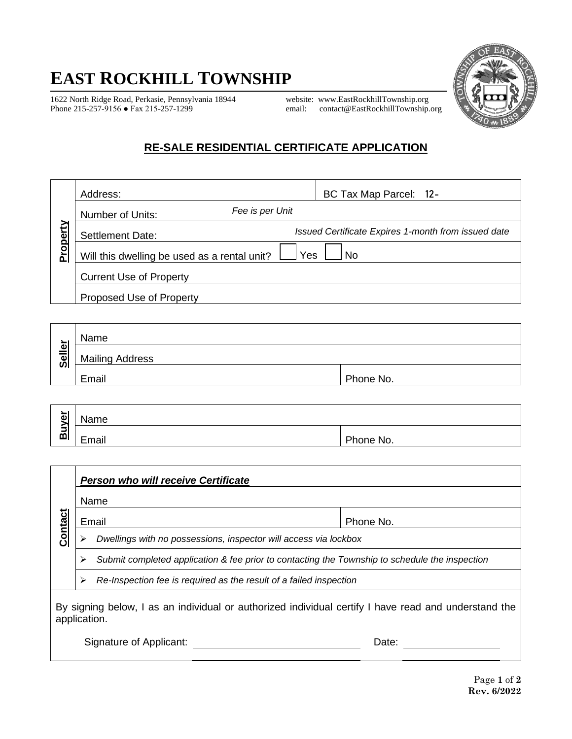## **EAST ROCKHILL TOWNSHIP**

1622 North Ridge Road, Perkasie, Pennsylvania 18944 website: [www.EastRockhillTownship.org](http://www.eastrockhilltownship.org/)

email: [contact@EastRockhillTownship.org](mailto:contact@EastRockhillTownship.org)



## **RE-SALE RESIDENTIAL CERTIFICATE APPLICATION**

|          | Address:                                     | BC Tax Map Parcel: 12-                              |  |  |
|----------|----------------------------------------------|-----------------------------------------------------|--|--|
|          | Fee is per Unit<br>Number of Units:          |                                                     |  |  |
| Property | <b>Settlement Date:</b>                      | Issued Certificate Expires 1-month from issued date |  |  |
|          | Will this dwelling be used as a rental unit? | Yes<br>No                                           |  |  |
|          | <b>Current Use of Property</b>               |                                                     |  |  |
|          | Proposed Use of Property                     |                                                     |  |  |

| ►                              | Name                   |           |
|--------------------------------|------------------------|-----------|
| 의<br>$\overline{\overline{5}}$ | <b>Mailing Address</b> |           |
|                                | Email                  | Phone No. |

| -<br>$\bullet$ | Name           |           |  |  |  |
|----------------|----------------|-----------|--|--|--|
| э.<br>-<br>മ   | <br>-<br>Email | Phone No. |  |  |  |

|                                                                                                                      | <b>Person who will receive Certificate</b>                                                     |      |           |
|----------------------------------------------------------------------------------------------------------------------|------------------------------------------------------------------------------------------------|------|-----------|
|                                                                                                                      |                                                                                                | Name |           |
|                                                                                                                      | Email                                                                                          |      | Phone No. |
| <b>Contact</b><br>Dwellings with no possessions, inspector will access via lockbox                                   |                                                                                                |      |           |
|                                                                                                                      | Submit completed application & fee prior to contacting the Township to schedule the inspection |      |           |
|                                                                                                                      | Re-Inspection fee is required as the result of a failed inspection<br>⋗                        |      |           |
| By signing below, I as an individual or authorized individual certify I have read and understand the<br>application. |                                                                                                |      |           |

Signature of Applicant: Date: